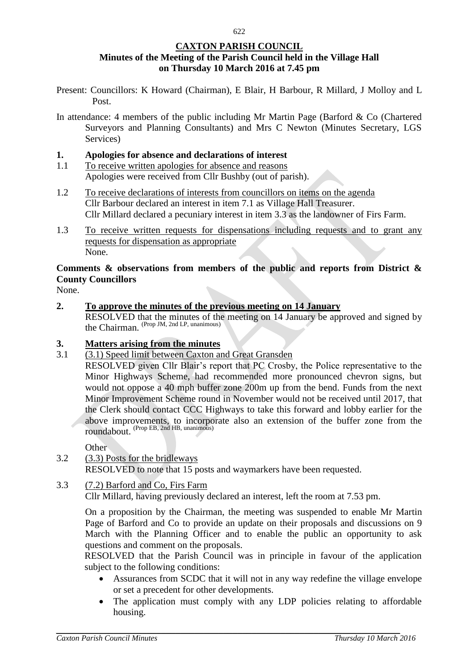## **CAXTON PARISH COUNCIL Minutes of the Meeting of the Parish Council held in the Village Hall on Thursday 10 March 2016 at 7.45 pm**

- Present: Councillors: K Howard (Chairman), E Blair, H Barbour, R Millard, J Molloy and L Post.
- In attendance: 4 members of the public including Mr Martin Page (Barford & Co (Chartered Surveyors and Planning Consultants) and Mrs C Newton (Minutes Secretary, LGS Services)

#### **1. Apologies for absence and declarations of interest**

- 1.1 To receive written apologies for absence and reasons Apologies were received from Cllr Bushby (out of parish).
- 1.2 To receive declarations of interests from councillors on items on the agenda Cllr Barbour declared an interest in item 7.1 as Village Hall Treasurer. Cllr Millard declared a pecuniary interest in item 3.3 as the landowner of Firs Farm.
- 1.3 To receive written requests for dispensations including requests and to grant any requests for dispensation as appropriate None.

# **Comments & observations from members of the public and reports from District & County Councillors**

None.

**2. To approve the minutes of the previous meeting on 14 January** RESOLVED that the minutes of the meeting on 14 January be approved and signed by the Chairman. (Prop JM, 2nd LP, unanimous)

### **3. Matters arising from the minutes**

3.1 (3.1) Speed limit between Caxton and Great Gransden

RESOLVED given Cllr Blair's report that PC Crosby, the Police representative to the Minor Highways Scheme, had recommended more pronounced chevron signs, but would not oppose a 40 mph buffer zone 200m up from the bend. Funds from the next Minor Improvement Scheme round in November would not be received until 2017, that the Clerk should contact CCC Highways to take this forward and lobby earlier for the above improvements, to incorporate also an extension of the buffer zone from the roundabout. (Prop EB, 2nd HB, unanimous)

### Other

3.2 (3.3) Posts for the bridleways RESOLVED to note that 15 posts and waymarkers have been requested.

### 3.3 (7.2) Barford and Co, Firs Farm

Cllr Millard, having previously declared an interest, left the room at 7.53 pm.

On a proposition by the Chairman, the meeting was suspended to enable Mr Martin Page of Barford and Co to provide an update on their proposals and discussions on 9 March with the Planning Officer and to enable the public an opportunity to ask questions and comment on the proposals.

RESOLVED that the Parish Council was in principle in favour of the application subject to the following conditions:

- Assurances from SCDC that it will not in any way redefine the village envelope or set a precedent for other developments.
- The application must comply with any LDP policies relating to affordable housing.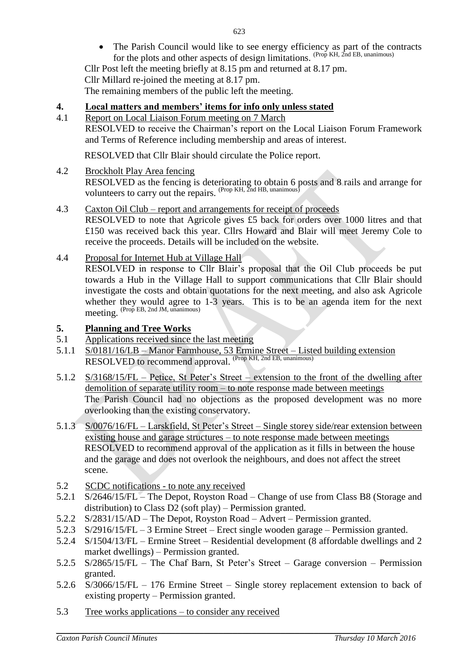The Parish Council would like to see energy efficiency as part of the contracts for the plots and other aspects of design limitations. (Prop KH, 2nd EB, unanimous)

Cllr Post left the meeting briefly at 8.15 pm and returned at 8.17 pm. Cllr Millard re-joined the meeting at 8.17 pm. The remaining members of the public left the meeting.

## **4. Local matters and members' items for info only unless stated**

4.1 Report on Local Liaison Forum meeting on 7 March

RESOLVED to receive the Chairman's report on the Local Liaison Forum Framework and Terms of Reference including membership and areas of interest.

RESOLVED that Cllr Blair should circulate the Police report.

4.2 Brockholt Play Area fencing

RESOLVED as the fencing is deteriorating to obtain 6 posts and 8 rails and arrange for volunteers to carry out the repairs. (Prop KH, 2nd HB, unanimous)

4.3 Caxton Oil Club – report and arrangements for receipt of proceeds

RESOLVED to note that Agricole gives £5 back for orders over 1000 litres and that £150 was received back this year. Cllrs Howard and Blair will meet Jeremy Cole to receive the proceeds. Details will be included on the website.

4.4 Proposal for Internet Hub at Village Hall

RESOLVED in response to Cllr Blair's proposal that the Oil Club proceeds be put towards a Hub in the Village Hall to support communications that Cllr Blair should investigate the costs and obtain quotations for the next meeting, and also ask Agricole whether they would agree to 1-3 years. This is to be an agenda item for the next meeting. (Prop EB, 2nd JM, unanimous)

#### **5. Planning and Tree Works**

- 5.1 Applications received since the last meeting
- 5.1.1 S/0181/16/LB Manor Farmhouse, 53 Ermine Street Listed building extension RESOLVED to recommend approval. (Prop KH, 2nd EB, unanimous)
- 5.1.2 S/3168/15/FL Petice, St Peter's Street extension to the front of the dwelling after demolition of separate utility room – to note response made between meetings The Parish Council had no objections as the proposed development was no more overlooking than the existing conservatory.
- 5.1.3 S/0076/16/FL Larskfield, St Peter's Street Single storey side/rear extension between existing house and garage structures – to note response made between meetings RESOLVED to recommend approval of the application as it fills in between the house and the garage and does not overlook the neighbours, and does not affect the street scene.
- 5.2 SCDC notifications to note any received
- 5.2.1 S/2646/15/FL The Depot, Royston Road Change of use from Class B8 (Storage and distribution) to Class D2 (soft play) – Permission granted.
- 5.2.2 S/2831/15/AD The Depot, Royston Road Advert Permission granted.
- 5.2.3 S/2916/15/FL 3 Ermine Street Erect single wooden garage Permission granted.
- 5.2.4 S/1504/13/FL Ermine Street Residential development (8 affordable dwellings and 2 market dwellings) – Permission granted.
- 5.2.5 S/2865/15/FL The Chaf Barn, St Peter's Street Garage conversion Permission granted.
- 5.2.6 S/3066/15/FL 176 Ermine Street Single storey replacement extension to back of existing property – Permission granted.
- 5.3 Tree works applications to consider any received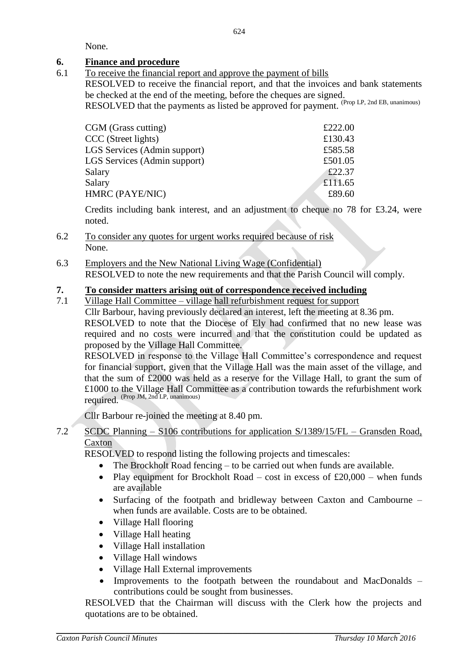None.

## **6. Finance and procedure**

6.1 To receive the financial report and approve the payment of bills

RESOLVED to receive the financial report, and that the invoices and bank statements be checked at the end of the meeting, before the cheques are signed.

RESOLVED that the payments as listed be approved for payment. <sup>(Prop LP, 2nd EB, unanimous)</sup>

| £222.00 |
|---------|
| £130.43 |
| £585.58 |
| £501.05 |
| £22.37  |
| £111.65 |
| £89.60  |
|         |

Credits including bank interest, and an adjustment to cheque no 78 for £3.24, were noted.

- 6.2 To consider any quotes for urgent works required because of risk None.
- 6.3 Employers and the New National Living Wage (Confidential) RESOLVED to note the new requirements and that the Parish Council will comply.

## **7. To consider matters arising out of correspondence received including**

7.1 Village Hall Committee – village hall refurbishment request for support Cllr Barbour, having previously declared an interest, left the meeting at 8.36 pm. RESOLVED to note that the Diocese of Ely had confirmed that no new lease was required and no costs were incurred and that the constitution could be updated as proposed by the Village Hall Committee.

RESOLVED in response to the Village Hall Committee's correspondence and request for financial support, given that the Village Hall was the main asset of the village, and that the sum of £2000 was held as a reserve for the Village Hall, to grant the sum of £1000 to the Village Hall Committee as a contribution towards the refurbishment work required. (Prop JM, 2nd LP, unanimous)

Cllr Barbour re-joined the meeting at 8.40 pm.

7.2 SCDC Planning – S106 contributions for application S/1389/15/FL – Gransden Road, **Caxton** 

RESOLVED to respond listing the following projects and timescales:

- The Brockholt Road fencing to be carried out when funds are available.
- Play equipment for Brockholt Road cost in excess of  $£20,000$  when funds are available
- Surfacing of the footpath and bridleway between Caxton and Cambourne when funds are available. Costs are to be obtained.
- Village Hall flooring
- Village Hall heating
- Village Hall installation
- Village Hall windows
- Village Hall External improvements
- Improvements to the footpath between the roundabout and MacDonalds contributions could be sought from businesses.

RESOLVED that the Chairman will discuss with the Clerk how the projects and quotations are to be obtained.